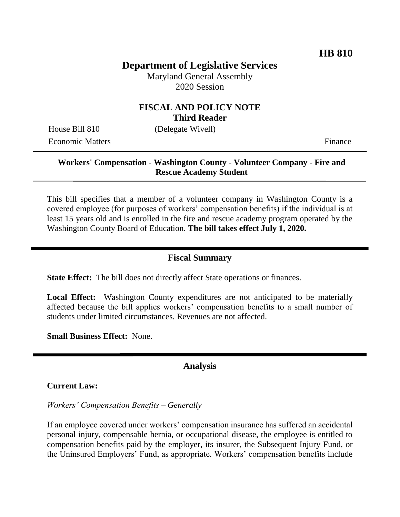# **Department of Legislative Services**

Maryland General Assembly 2020 Session

### **FISCAL AND POLICY NOTE Third Reader**

House Bill 810 (Delegate Wivell)

Economic Matters **Finance** 

### **Workers' Compensation - Washington County - Volunteer Company - Fire and Rescue Academy Student**

This bill specifies that a member of a volunteer company in Washington County is a covered employee (for purposes of workers' compensation benefits) if the individual is at least 15 years old and is enrolled in the fire and rescue academy program operated by the Washington County Board of Education. **The bill takes effect July 1, 2020.** 

## **Fiscal Summary**

**State Effect:** The bill does not directly affect State operations or finances.

**Local Effect:** Washington County expenditures are not anticipated to be materially affected because the bill applies workers' compensation benefits to a small number of students under limited circumstances. Revenues are not affected.

**Small Business Effect:** None.

#### **Analysis**

**Current Law:**

*Workers' Compensation Benefits – Generally* 

If an employee covered under workers' compensation insurance has suffered an accidental personal injury, compensable hernia, or occupational disease, the employee is entitled to compensation benefits paid by the employer, its insurer, the Subsequent Injury Fund, or the Uninsured Employers' Fund, as appropriate. Workers' compensation benefits include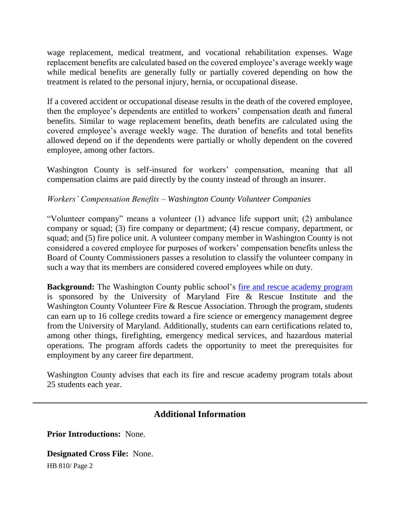wage replacement, medical treatment, and vocational rehabilitation expenses. Wage replacement benefits are calculated based on the covered employee's average weekly wage while medical benefits are generally fully or partially covered depending on how the treatment is related to the personal injury, hernia, or occupational disease.

If a covered accident or occupational disease results in the death of the covered employee, then the employee's dependents are entitled to workers' compensation death and funeral benefits. Similar to wage replacement benefits, death benefits are calculated using the covered employee's average weekly wage. The duration of benefits and total benefits allowed depend on if the dependents were partially or wholly dependent on the covered employee, among other factors.

Washington County is self-insured for workers' compensation, meaning that all compensation claims are paid directly by the county instead of through an insurer.

#### *Workers' Compensation Benefits – Washington County Volunteer Companies*

"Volunteer company" means a volunteer (1) advance life support unit; (2) ambulance company or squad; (3) fire company or department; (4) rescue company, department, or squad; and (5) fire police unit. A volunteer company member in Washington County is not considered a covered employee for purposes of workers' compensation benefits unless the Board of County Commissioners passes a resolution to classify the volunteer company in such a way that its members are considered covered employees while on duty.

**Background:** The Washington County public school's [fire and rescue academy program](http://wcpsmd.com/schools/high-schools/washington-county-technical-high/tech-areas/fire-rescue-academy) is sponsored by the University of Maryland Fire & Rescue Institute and the Washington County Volunteer Fire & Rescue Association. Through the program, students can earn up to 16 college credits toward a fire science or emergency management degree from the University of Maryland. Additionally, students can earn certifications related to, among other things, firefighting, emergency medical services, and hazardous material operations. The program affords cadets the opportunity to meet the prerequisites for employment by any career fire department.

Washington County advises that each its fire and rescue academy program totals about 25 students each year.

## **Additional Information**

**Prior Introductions:** None.

**Designated Cross File:** None.

HB 810/ Page 2